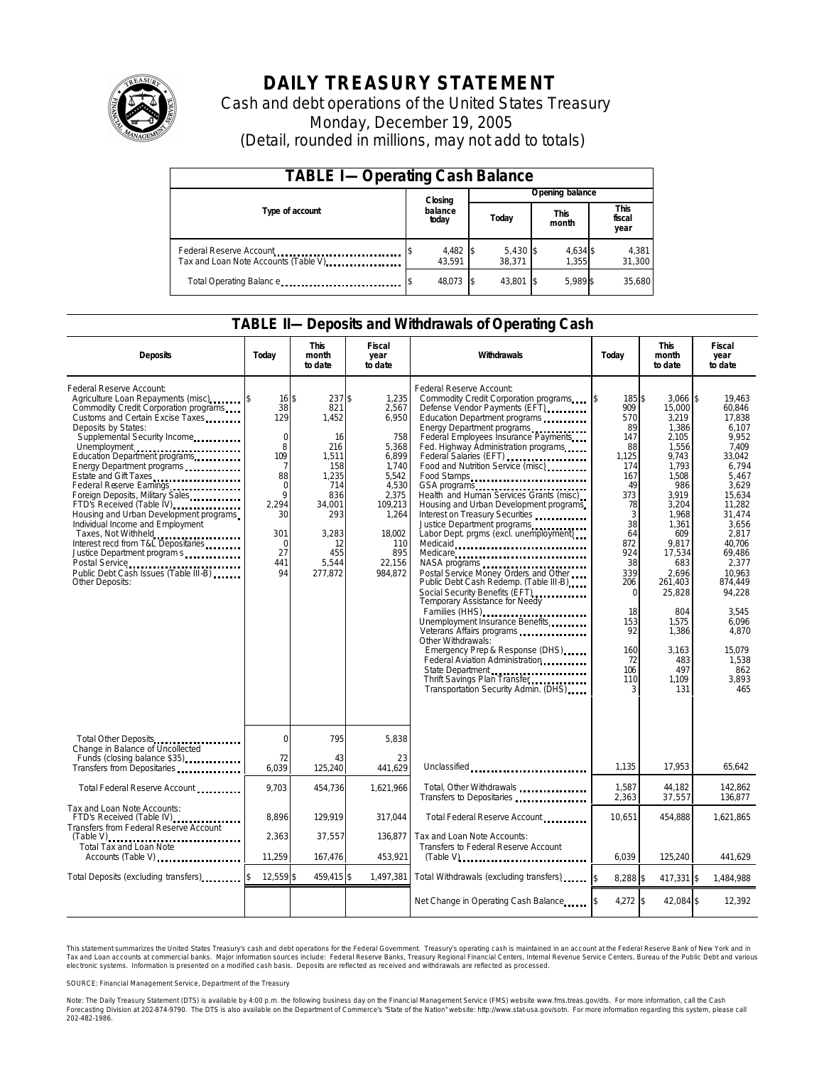

# **DAILY TREASURY STATEMENT**

Cash and debt operations of the United States Treasury Monday, December 19, 2005 (Detail, rounded in millions, may not add to totals)

| <b>TABLE I-Operating Cash Balance</b>                           |                    |                      |                      |                               |  |  |  |
|-----------------------------------------------------------------|--------------------|----------------------|----------------------|-------------------------------|--|--|--|
|                                                                 | Closing            | Opening balance      |                      |                               |  |  |  |
| Type of account                                                 | balance<br>today   | Today                | <b>This</b><br>month | <b>This</b><br>fiscal<br>year |  |  |  |
| Federal Reserve Account<br>Tax and Loan Note Accounts (Table V) | 4,482 \$<br>43.591 | $5,430$ \$<br>38.371 | 4,634 \$<br>1.355    | 4,381<br>31,300               |  |  |  |
| Total Operating Balance                                         | 48,073             | 43,801               | 5.989 \$             | 35,680                        |  |  |  |

#### **TABLE II—Deposits and Withdrawals of Operating Cash**

| <b>Deposits</b>                                                                                                                                                                                                                                                                                                                                                                                                                                                                                                                                                                                                                                 | Today                                                                                                                                | <b>This</b><br>month<br>to date                                                                                                      | Fiscal<br>year<br>to date                                                                                                                             | Withdrawals                                                                                                                                                                                                                                                                                                                                                                                                                                                                                                                                                                                                                                                                                                                                                                                                                                                                                                                                                                   | Today                                                                                                                                                                                                     | <b>This</b><br>month<br>to date                                                                                                                                                                                                                               | <b>Fiscal</b><br>year<br>to date                                                                                                                                                                                                                                            |
|-------------------------------------------------------------------------------------------------------------------------------------------------------------------------------------------------------------------------------------------------------------------------------------------------------------------------------------------------------------------------------------------------------------------------------------------------------------------------------------------------------------------------------------------------------------------------------------------------------------------------------------------------|--------------------------------------------------------------------------------------------------------------------------------------|--------------------------------------------------------------------------------------------------------------------------------------|-------------------------------------------------------------------------------------------------------------------------------------------------------|-------------------------------------------------------------------------------------------------------------------------------------------------------------------------------------------------------------------------------------------------------------------------------------------------------------------------------------------------------------------------------------------------------------------------------------------------------------------------------------------------------------------------------------------------------------------------------------------------------------------------------------------------------------------------------------------------------------------------------------------------------------------------------------------------------------------------------------------------------------------------------------------------------------------------------------------------------------------------------|-----------------------------------------------------------------------------------------------------------------------------------------------------------------------------------------------------------|---------------------------------------------------------------------------------------------------------------------------------------------------------------------------------------------------------------------------------------------------------------|-----------------------------------------------------------------------------------------------------------------------------------------------------------------------------------------------------------------------------------------------------------------------------|
| Federal Reserve Account:<br>Agriculture Loan Repayments (misc)<br>Commodity Credit Corporation programs<br>Customs and Certain Excise Taxes<br>Deposits by States:<br>Supplemental Security Income<br>Unemployment<br>Education Department programs<br>Energy Department programs<br>Estate and Gift Taxes<br>Federal Reserve Earnings<br>Foreign Deposits, Military Sales<br>FTD's Received (Table IV)<br>Housing and Urban Development programs<br>Individual Income and Employment<br>Taxes, Not Withheld<br>Interest recd from T&L Depositaries<br>Justice Department program s<br>Public Debt Cash Issues (Table III-B)<br>Other Deposits: | $16$ \$<br>38<br>129<br>$\mathbf 0$<br>8<br>109<br>7<br>88<br>0<br>$\mathsf{Q}$<br>2.294<br>30<br>301<br>$\Omega$<br>27<br>441<br>94 | 237\$<br>821<br>1,452<br>16<br>216<br>1,511<br>158<br>1,235<br>714<br>836<br>34,001<br>293<br>3.283<br>12<br>455<br>5,544<br>277,872 | 1,235<br>2,567<br>6,950<br>758<br>5,368<br>6,899<br>1,740<br>5,542<br>4,530<br>2.375<br>109,213<br>1,264<br>18.002<br>110<br>895<br>22,156<br>984,872 | Federal Reserve Account:<br>Commodity Credit Corporation programs<br>Defense Vendor Payments (EFT)<br>Education Department programs<br>Energy Department programs<br>Federal Employees Insurance Payments<br>Fed. Highway Administration programs<br>Federal Salaries (EFT)<br>Food and Nutrition Service (misc)<br>Food Stamps<br>Health and Human Services Grants (misc)<br>Housing and Urban Development programs<br>Interest on Treasury Securities<br>Justice Department programs<br>Labor Dept. prgms (excl. unemployment)<br>Medicaid<br>Medicare<br>NASA programs<br>Postal Service Money Orders and Other<br>Public Debt Cash Redemp. (Table III-B)<br>Social Security Benefits (EFT)<br>Temporary Assistance for Needy<br>Families (HHS)<br>Unemployment Insurance Benefits<br>Other Withdrawals:<br>Emergency Prep & Response (DHS)<br>Federal Aviation Administration<br>State Department<br>Thrift Savings Plan Transfer<br>Transportation Security Admin. (DHS) | ß.<br>185 \$<br>909<br>570<br>89<br>147<br>88<br>1,125<br>174<br>167<br>49<br>373<br>78<br>3<br>38<br>64<br>872<br>924<br>38<br>339<br>206<br>$\Omega$<br>18<br>153<br>92<br>160<br>72<br>106<br>110<br>3 | $3,066$ \$<br>15.000<br>3,219<br>1.386<br>2,105<br>1,556<br>9,743<br>1,793<br>1.508<br>986<br>3.919<br>3,204<br>1.968<br>1,361<br>609<br>9.817<br>17,534<br>683<br>2,696<br>261,403<br>25,828<br>804<br>1,575<br>1,386<br>3.163<br>483<br>497<br>1,109<br>131 | 19.463<br>60.846<br>17.838<br>6.107<br>9,952<br>7.409<br>33,042<br>6,794<br>5.467<br>3,629<br>15.634<br>11,282<br>31.474<br>3.656<br>2.817<br>40.706<br>69,486<br>2,377<br>10.963<br>874.449<br>94,228<br>3.545<br>6,096<br>4.870<br>15.079<br>1,538<br>862<br>3,893<br>465 |
| Total Other Deposits<br>Change in Balance of Uncollected                                                                                                                                                                                                                                                                                                                                                                                                                                                                                                                                                                                        | $\Omega$                                                                                                                             | 795                                                                                                                                  | 5,838                                                                                                                                                 |                                                                                                                                                                                                                                                                                                                                                                                                                                                                                                                                                                                                                                                                                                                                                                                                                                                                                                                                                                               |                                                                                                                                                                                                           |                                                                                                                                                                                                                                                               |                                                                                                                                                                                                                                                                             |
| Funds (closing balance \$35)<br>Transfers from Depositaries                                                                                                                                                                                                                                                                                                                                                                                                                                                                                                                                                                                     | 72<br>6,039                                                                                                                          | 43<br>125,240                                                                                                                        | 23<br>441.629                                                                                                                                         | Unclassified                                                                                                                                                                                                                                                                                                                                                                                                                                                                                                                                                                                                                                                                                                                                                                                                                                                                                                                                                                  | 1.135                                                                                                                                                                                                     | 17,953                                                                                                                                                                                                                                                        | 65.642                                                                                                                                                                                                                                                                      |
| Total Federal Reserve Account                                                                                                                                                                                                                                                                                                                                                                                                                                                                                                                                                                                                                   | 9.703                                                                                                                                | 454,736                                                                                                                              | 1,621,966                                                                                                                                             | Total, Other Withdrawals<br>Transfers to Depositaries                                                                                                                                                                                                                                                                                                                                                                                                                                                                                                                                                                                                                                                                                                                                                                                                                                                                                                                         | 1,587<br>2,363                                                                                                                                                                                            | 44,182<br>37,557                                                                                                                                                                                                                                              | 142,862<br>136,877                                                                                                                                                                                                                                                          |
| Tax and Loan Note Accounts:<br>FTD's Received (Table IV)<br>Transfers from Federal Reserve Account                                                                                                                                                                                                                                                                                                                                                                                                                                                                                                                                              | 8.896                                                                                                                                | 129.919                                                                                                                              | 317.044                                                                                                                                               | Total Federal Reserve Account                                                                                                                                                                                                                                                                                                                                                                                                                                                                                                                                                                                                                                                                                                                                                                                                                                                                                                                                                 | 10.651                                                                                                                                                                                                    | 454.888                                                                                                                                                                                                                                                       | 1.621.865                                                                                                                                                                                                                                                                   |
| $(Table V)$<br>Total Tax and Loan Note<br>Accounts (Table V)                                                                                                                                                                                                                                                                                                                                                                                                                                                                                                                                                                                    | 2,363<br>11,259                                                                                                                      | 37,557<br>167,476                                                                                                                    | 136,877<br>453,921                                                                                                                                    | Tax and Loan Note Accounts:<br>Transfers to Federal Reserve Account<br>$(Table V)$                                                                                                                                                                                                                                                                                                                                                                                                                                                                                                                                                                                                                                                                                                                                                                                                                                                                                            | 6,039                                                                                                                                                                                                     | 125,240                                                                                                                                                                                                                                                       | 441,629                                                                                                                                                                                                                                                                     |
| Total Deposits (excluding transfers)                                                                                                                                                                                                                                                                                                                                                                                                                                                                                                                                                                                                            | 12,559 \$                                                                                                                            | 459,415 \$                                                                                                                           | 1,497,381                                                                                                                                             | Total Withdrawals (excluding transfers)                                                                                                                                                                                                                                                                                                                                                                                                                                                                                                                                                                                                                                                                                                                                                                                                                                                                                                                                       | 8,288 \$                                                                                                                                                                                                  | 417,331 \$                                                                                                                                                                                                                                                    | 1,484,988                                                                                                                                                                                                                                                                   |
|                                                                                                                                                                                                                                                                                                                                                                                                                                                                                                                                                                                                                                                 |                                                                                                                                      |                                                                                                                                      |                                                                                                                                                       | Net Change in Operating Cash Balance                                                                                                                                                                                                                                                                                                                                                                                                                                                                                                                                                                                                                                                                                                                                                                                                                                                                                                                                          | 4,272 \$                                                                                                                                                                                                  | 42,084 \$                                                                                                                                                                                                                                                     | 12,392                                                                                                                                                                                                                                                                      |

This statement summarizes the United States Treasury's cash and debt operations for the Federal Government. Treasury's operating cash is maintained in an account at the Federal Reserve Bank of New York and in Tax and Loan accounts at commercial banks. Major information sources include: Federal Reserve Banks, Treasury Regional Financial Centers, Internal Revenue Service Centers, Bureau of the Public Debt and various<br>electronic s

SOURCE: Financial Management Service, Department of the Treasury

Note: The Daily Treasury Statement (DTS) is available by 4:00 p.m. the following business day on the Financial Management Service (FMS) website www.fms.treas.gov/dts.<br>Forecasting Division at 202-874-9790. The DTS is also a 'S) is available by 4:00 p.m. the following business day on the Financial Management Service (FMS) website www.fms.treas.gov/dts. For more information, call the Cash<br>The DTS is also available on the Department of Commerce'